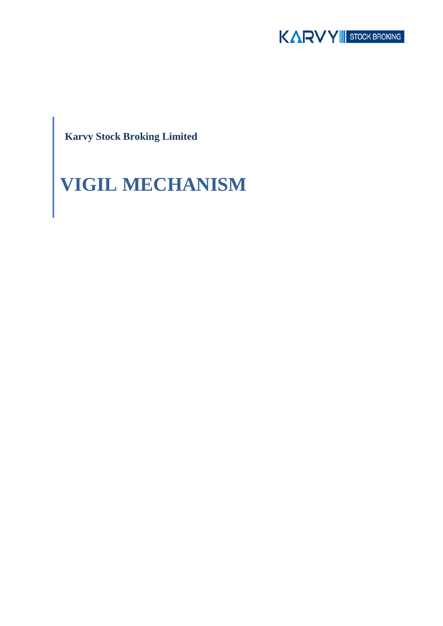

 **Karvy Stock Broking Limited**

# **VIGIL MECHANISM**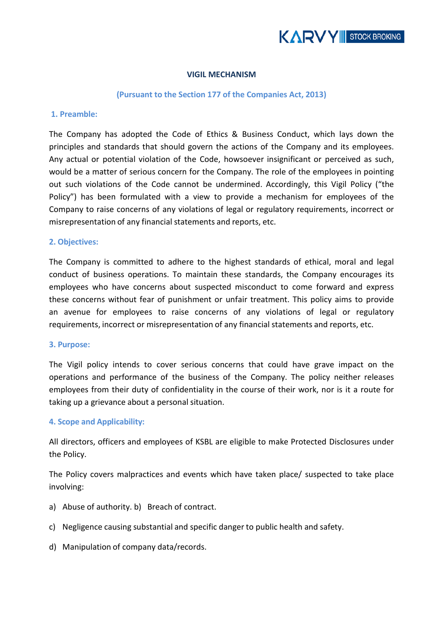

## **VIGIL MECHANISM**

## **(Pursuant to the Section 177 of the Companies Act, 2013)**

## **1. Preamble:**

The Company has adopted the Code of Ethics & Business Conduct, which lays down the principles and standards that should govern the actions of the Company and its employees. Any actual or potential violation of the Code, howsoever insignificant or perceived as such, would be a matter of serious concern for the Company. The role of the employees in pointing out such violations of the Code cannot be undermined. Accordingly, this Vigil Policy ("the Policy") has been formulated with a view to provide a mechanism for employees of the Company to raise concerns of any violations of legal or regulatory requirements, incorrect or misrepresentation of any financial statements and reports, etc.

# **2. Objectives:**

The Company is committed to adhere to the highest standards of ethical, moral and legal conduct of business operations. To maintain these standards, the Company encourages its employees who have concerns about suspected misconduct to come forward and express these concerns without fear of punishment or unfair treatment. This policy aims to provide an avenue for employees to raise concerns of any violations of legal or regulatory requirements, incorrect or misrepresentation of any financial statements and reports, etc.

## **3. Purpose:**

The Vigil policy intends to cover serious concerns that could have grave impact on the operations and performance of the business of the Company. The policy neither releases employees from their duty of confidentiality in the course of their work, nor is it a route for taking up a grievance about a personal situation.

# **4. Scope and Applicability:**

All directors, officers and employees of KSBL are eligible to make Protected Disclosures under the Policy.

The Policy covers malpractices and events which have taken place/ suspected to take place involving:

- a) Abuse of authority. b) Breach of contract.
- c) Negligence causing substantial and specific danger to public health and safety.
- d) Manipulation of company data/records.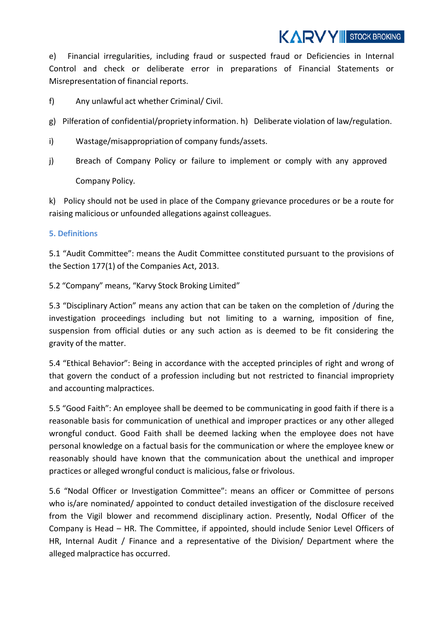e) Financial irregularities, including fraud or suspected fraud or Deficiencies in Internal Control and check or deliberate error in preparations of Financial Statements or Misrepresentation of financial reports.

KARVY STOCK BROKING

f) Any unlawful act whether Criminal/ Civil.

g) Pilferation of confidential/propriety information. h) Deliberate violation of law/regulation.

- i) Wastage/misappropriation of company funds/assets.
- j) Breach of Company Policy or failure to implement or comply with any approved Company Policy.

k) Policy should not be used in place of the Company grievance procedures or be a route for raising malicious or unfounded allegations against colleagues.

# **5. Definitions**

5.1 "Audit Committee": means the Audit Committee constituted pursuant to the provisions of the Section 177(1) of the Companies Act, 2013.

5.2 "Company" means, "Karvy Stock Broking Limited"

5.3 "Disciplinary Action" means any action that can be taken on the completion of /during the investigation proceedings including but not limiting to a warning, imposition of fine, suspension from official duties or any such action as is deemed to be fit considering the gravity of the matter.

5.4 "Ethical Behavior": Being in accordance with the accepted principles of right and wrong of that govern the conduct of a profession including but not restricted to financial impropriety and accounting malpractices.

5.5 "Good Faith": An employee shall be deemed to be communicating in good faith if there is a reasonable basis for communication of unethical and improper practices or any other alleged wrongful conduct. Good Faith shall be deemed lacking when the employee does not have personal knowledge on a factual basis for the communication or where the employee knew or reasonably should have known that the communication about the unethical and improper practices or alleged wrongful conduct is malicious, false or frivolous.

5.6 "Nodal Officer or Investigation Committee": means an officer or Committee of persons who is/are nominated/ appointed to conduct detailed investigation of the disclosure received from the Vigil blower and recommend disciplinary action. Presently, Nodal Officer of the Company is Head – HR. The Committee, if appointed, should include Senior Level Officers of HR, Internal Audit / Finance and a representative of the Division/ Department where the alleged malpractice has occurred.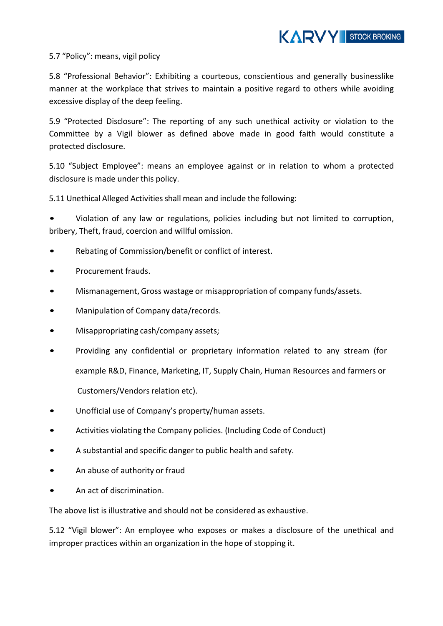

# 5.7 "Policy": means, vigil policy

5.8 "Professional Behavior": Exhibiting a courteous, conscientious and generally businesslike manner at the workplace that strives to maintain a positive regard to others while avoiding excessive display of the deep feeling.

5.9 "Protected Disclosure": The reporting of any such unethical activity or violation to the Committee by a Vigil blower as defined above made in good faith would constitute a protected disclosure.

5.10 "Subject Employee": means an employee against or in relation to whom a protected disclosure is made under this policy.

5.11 Unethical Alleged Activities shall mean and include the following:

• Violation of any law or regulations, policies including but not limited to corruption, bribery, Theft, fraud, coercion and willful omission.

- Rebating of Commission/benefit or conflict of interest.
- Procurement frauds.
- Mismanagement, Gross wastage or misappropriation of company funds/assets.
- Manipulation of Company data/records.
- Misappropriating cash/company assets;
- Providing any confidential or proprietary information related to any stream (for example R&D, Finance, Marketing, IT, Supply Chain, Human Resources and farmers or Customers/Vendors relation etc).
- Unofficial use of Company's property/human assets.
- Activities violating the Company policies. (Including Code of Conduct)
- A substantial and specific danger to public health and safety.
- An abuse of authority or fraud
- An act of discrimination.

The above list is illustrative and should not be considered as exhaustive.

5.12 "Vigil blower": An employee who exposes or makes a disclosure of the unethical and improper practices within an organization in the hope of stopping it.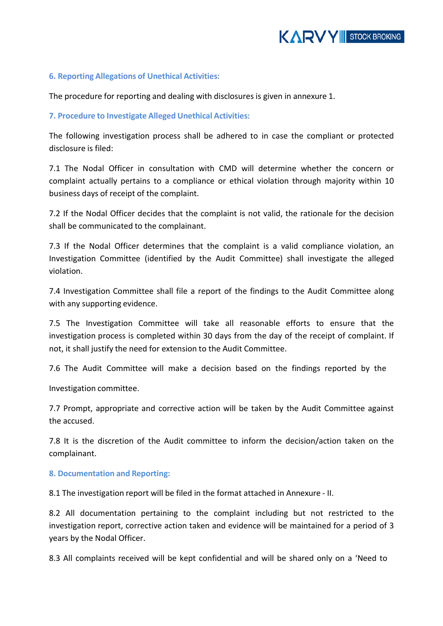

# **6. Reporting Allegations of Unethical Activities:**

The procedure for reporting and dealing with disclosures is given in annexure 1.

# **7. Procedure to Investigate Alleged Unethical Activities:**

The following investigation process shall be adhered to in case the compliant or protected disclosure is filed:

7.1 The Nodal Officer in consultation with CMD will determine whether the concern or complaint actually pertains to a compliance or ethical violation through majority within 10 business days of receipt of the complaint.

7.2 If the Nodal Officer decides that the complaint is not valid, the rationale for the decision shall be communicated to the complainant.

7.3 If the Nodal Officer determines that the complaint is a valid compliance violation, an Investigation Committee (identified by the Audit Committee) shall investigate the alleged violation.

7.4 Investigation Committee shall file a report of the findings to the Audit Committee along with any supporting evidence.

7.5 The Investigation Committee will take all reasonable efforts to ensure that the investigation process is completed within 30 days from the day of the receipt of complaint. If not, it shall justify the need for extension to the Audit Committee.

7.6 The Audit Committee will make a decision based on the findings reported by the

Investigation committee.

7.7 Prompt, appropriate and corrective action will be taken by the Audit Committee against the accused.

7.8 It is the discretion of the Audit committee to inform the decision/action taken on the complainant.

## **8. Documentation and Reporting:**

8.1 The investigation report will be filed in the format attached in Annexure - II.

8.2 All documentation pertaining to the complaint including but not restricted to the investigation report, corrective action taken and evidence will be maintained for a period of 3 years by the Nodal Officer.

8.3 All complaints received will be kept confidential and will be shared only on a 'Need to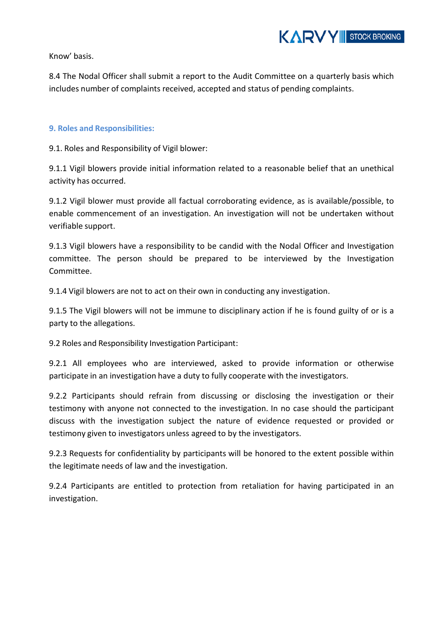

Know' basis.

8.4 The Nodal Officer shall submit a report to the Audit Committee on a quarterly basis which includes number of complaints received, accepted and status of pending complaints.

# **9. Roles and Responsibilities:**

9.1. Roles and Responsibility of Vigil blower:

9.1.1 Vigil blowers provide initial information related to a reasonable belief that an unethical activity has occurred.

9.1.2 Vigil blower must provide all factual corroborating evidence, as is available/possible, to enable commencement of an investigation. An investigation will not be undertaken without verifiable support.

9.1.3 Vigil blowers have a responsibility to be candid with the Nodal Officer and Investigation committee. The person should be prepared to be interviewed by the Investigation Committee.

9.1.4 Vigil blowers are not to act on their own in conducting any investigation.

9.1.5 The Vigil blowers will not be immune to disciplinary action if he is found guilty of or is a party to the allegations.

9.2 Roles and Responsibility Investigation Participant:

9.2.1 All employees who are interviewed, asked to provide information or otherwise participate in an investigation have a duty to fully cooperate with the investigators.

9.2.2 Participants should refrain from discussing or disclosing the investigation or their testimony with anyone not connected to the investigation. In no case should the participant discuss with the investigation subject the nature of evidence requested or provided or testimony given to investigators unless agreed to by the investigators.

9.2.3 Requests for confidentiality by participants will be honored to the extent possible within the legitimate needs of law and the investigation.

9.2.4 Participants are entitled to protection from retaliation for having participated in an investigation.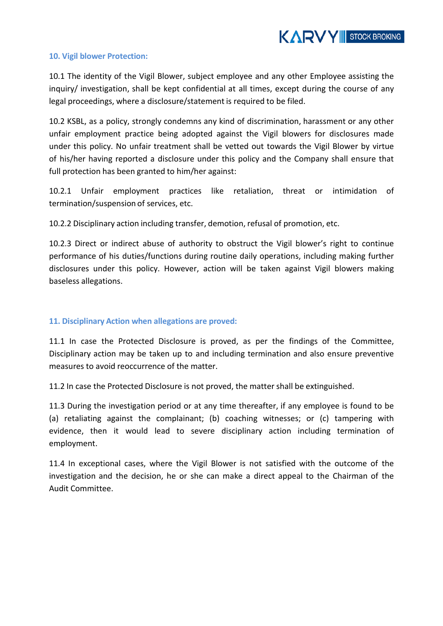

## **10. Vigil blower Protection:**

10.1 The identity of the Vigil Blower, subject employee and any other Employee assisting the inquiry/ investigation, shall be kept confidential at all times, except during the course of any legal proceedings, where a disclosure/statement is required to be filed.

10.2 KSBL, as a policy, strongly condemns any kind of discrimination, harassment or any other unfair employment practice being adopted against the Vigil blowers for disclosures made under this policy. No unfair treatment shall be vetted out towards the Vigil Blower by virtue of his/her having reported a disclosure under this policy and the Company shall ensure that full protection has been granted to him/her against:

10.2.1 Unfair employment practices like retaliation, threat or intimidation of termination/suspension of services, etc.

10.2.2 Disciplinary action including transfer, demotion, refusal of promotion, etc.

10.2.3 Direct or indirect abuse of authority to obstruct the Vigil blower's right to continue performance of his duties/functions during routine daily operations, including making further disclosures under this policy. However, action will be taken against Vigil blowers making baseless allegations.

# **11. Disciplinary Action when allegations are proved:**

11.1 In case the Protected Disclosure is proved, as per the findings of the Committee, Disciplinary action may be taken up to and including termination and also ensure preventive measures to avoid reoccurrence of the matter.

11.2 In case the Protected Disclosure is not proved, the matter shall be extinguished.

11.3 During the investigation period or at any time thereafter, if any employee is found to be (a) retaliating against the complainant; (b) coaching witnesses; or (c) tampering with evidence, then it would lead to severe disciplinary action including termination of employment.

11.4 In exceptional cases, where the Vigil Blower is not satisfied with the outcome of the investigation and the decision, he or she can make a direct appeal to the Chairman of the Audit Committee.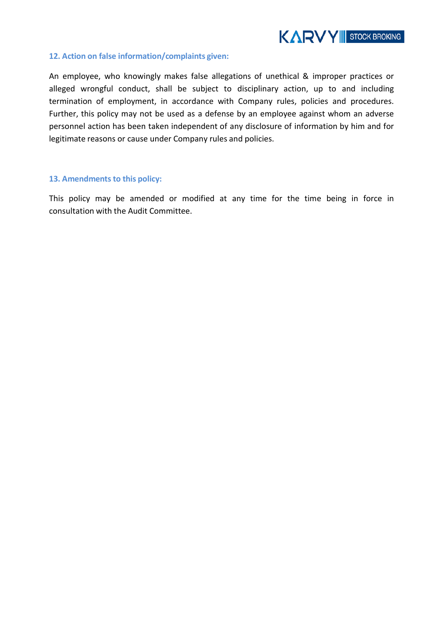

## **12. Action on false information/complaints given:**

An employee, who knowingly makes false allegations of unethical & improper practices or alleged wrongful conduct, shall be subject to disciplinary action, up to and including termination of employment, in accordance with Company rules, policies and procedures. Further, this policy may not be used as a defense by an employee against whom an adverse personnel action has been taken independent of any disclosure of information by him and for legitimate reasons or cause under Company rules and policies.

## **13.** Amendments to this policy:

This policy may be amended or modified at any time for the time being in force in consultation with the Audit Committee.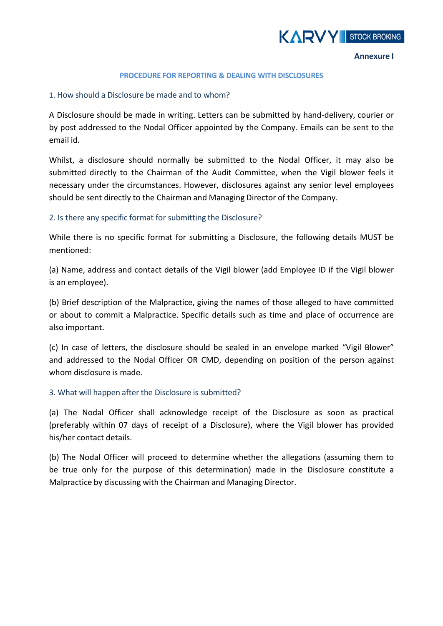

**Annexure I**

#### **PROCEDURE FOR REPORTING & DEALING WITH DISCLOSURES**

## 1. How should a Disclosure be made and to whom?

A Disclosure should be made in writing. Letters can be submitted by hand-delivery, courier or by post addressed to the Nodal Officer appointed by the Company. Emails can be sent to the email id.

Whilst, a disclosure should normally be submitted to the Nodal Officer, it may also be submitted directly to the Chairman of the Audit Committee, when the Vigil blower feels it necessary under the circumstances. However, disclosures against any senior level employees should be sent directly to the Chairman and Managing Director of the Company.

# 2. Is there any specific format for submitting the Disclosure?

While there is no specific format for submitting a Disclosure, the following details MUST be mentioned:

(a) Name, address and contact details of the Vigil blower (add Employee ID if the Vigil blower is an employee).

(b) Brief description of the Malpractice, giving the names of those alleged to have committed or about to commit a Malpractice. Specific details such as time and place of occurrence are also important.

(c) In case of letters, the disclosure should be sealed in an envelope marked "Vigil Blower" and addressed to the Nodal Officer OR CMD, depending on position of the person against whom disclosure is made.

## 3. What will happen after the Disclosure is submitted?

(a) The Nodal Officer shall acknowledge receipt of the Disclosure as soon as practical (preferably within 07 days of receipt of a Disclosure), where the Vigil blower has provided his/her contact details.

(b) The Nodal Officer will proceed to determine whether the allegations (assuming them to be true only for the purpose of this determination) made in the Disclosure constitute a Malpractice by discussing with the Chairman and Managing Director.